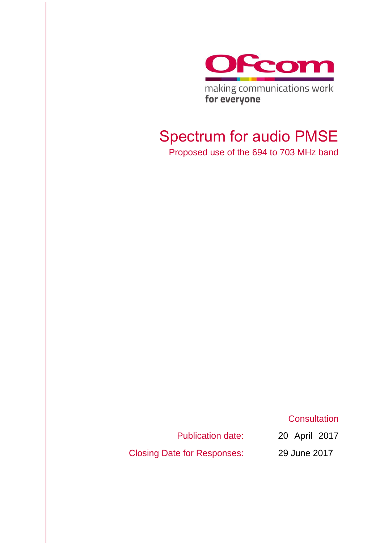

making communications work for everyone

# Spectrum for audio PMSE

Proposed use of the 694 to 703 MHz band

**Consultation** 

Publication date:

Closing Date for Responses:

20 April 2017 29 June 2017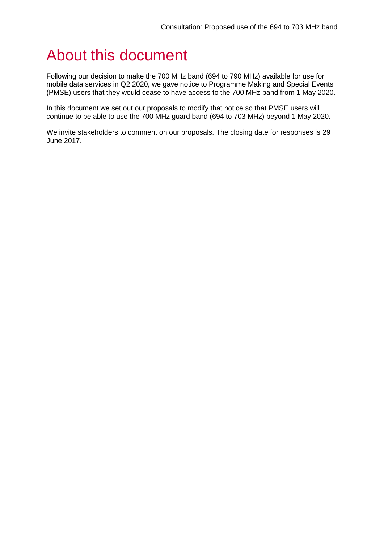# About this document

Following our decision to make the 700 MHz band (694 to 790 MHz) available for use for mobile data services in Q2 2020, we gave notice to Programme Making and Special Events (PMSE) users that they would cease to have access to the 700 MHz band from 1 May 2020.

In this document we set out our proposals to modify that notice so that PMSE users will continue to be able to use the 700 MHz guard band (694 to 703 MHz) beyond 1 May 2020.

We invite stakeholders to comment on our proposals. The closing date for responses is 29 June 2017.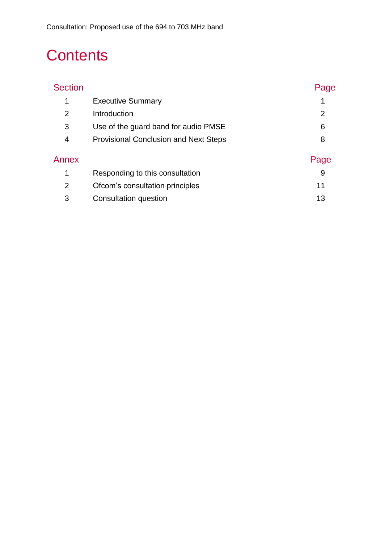# **Contents**

| <b>Section</b> |                                              | Page |
|----------------|----------------------------------------------|------|
| 1              | <b>Executive Summary</b>                     |      |
| $\overline{2}$ | Introduction                                 | 2    |
| 3              | Use of the guard band for audio PMSE         | 6    |
| 4              | <b>Provisional Conclusion and Next Steps</b> | 8    |
| Annex          |                                              | Page |
| 1              | Responding to this consultation              | 9    |
| 2              | Ofcom's consultation principles              | 11   |
| 3              | Consultation question                        | 13   |
|                |                                              |      |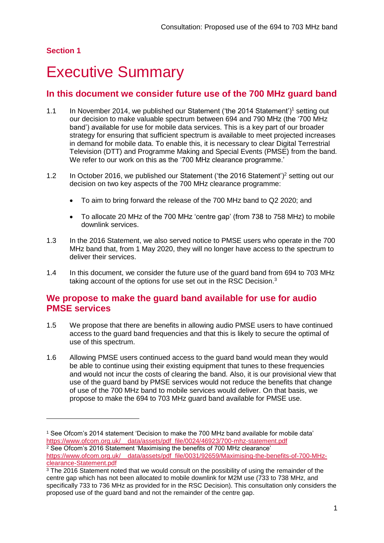## <span id="page-3-0"></span>**Executive Summary**

## **In this document we consider future use of the 700 MHz guard band**

- 1.1 In November 2014, we published our Statement ('the 2014 Statement')<sup>1</sup> setting out our decision to make valuable spectrum between 694 and 790 MHz (the '700 MHz band') available for use for mobile data services. This is a key part of our broader strategy for ensuring that sufficient spectrum is available to meet projected increases in demand for mobile data. To enable this, it is necessary to clear Digital Terrestrial Television (DTT) and Programme Making and Special Events (PMSE) from the band. We refer to our work on this as the '700 MHz clearance programme.'
- 1.2 In October 2016, we published our Statement ('the 2016 Statement')<sup>2</sup> setting out our decision on two key aspects of the 700 MHz clearance programme:
	- To aim to bring forward the release of the 700 MHz band to Q2 2020; and
	- To allocate 20 MHz of the 700 MHz 'centre gap' (from 738 to 758 MHz) to mobile downlink services.
- 1.3 In the 2016 Statement, we also served notice to PMSE users who operate in the 700 MHz band that, from 1 May 2020, they will no longer have access to the spectrum to deliver their services.
- 1.4 In this document, we consider the future use of the guard band from 694 to 703 MHz taking account of the options for use set out in the RSC Decision.<sup>3</sup>

### **We propose to make the guard band available for use for audio PMSE services**

- 1.5 We propose that there are benefits in allowing audio PMSE users to have continued access to the guard band frequencies and that this is likely to secure the optimal of use of this spectrum.
- 1.6 Allowing PMSE users continued access to the guard band would mean they would be able to continue using their existing equipment that tunes to these frequencies and would not incur the costs of clearing the band. Also, it is our provisional view that use of the guard band by PMSE services would not reduce the benefits that change of use of the 700 MHz band to mobile services would deliver. On that basis, we propose to make the 694 to 703 MHz guard band available for PMSE use.

<sup>1</sup> See Ofcom's 2014 statement 'Decision to make the 700 MHz band available for mobile data' [https://www.ofcom.org.uk/\\_\\_data/assets/pdf\\_file/0024/46923/700-mhz-statement.pdf](https://www.ofcom.org.uk/__data/assets/pdf_file/0024/46923/700-mhz-statement.pdf) <sup>2</sup> See Ofcom's 2016 Statement 'Maximising the benefits of 700 MHz clearance' [https://www.ofcom.org.uk/\\_\\_data/assets/pdf\\_file/0031/92659/Maximising-the-benefits-of-700-MHz](https://www.ofcom.org.uk/__data/assets/pdf_file/0031/92659/Maximising-the-benefits-of-700-MHz-clearance-Statement.pdf)[clearance-Statement.pdf](https://www.ofcom.org.uk/__data/assets/pdf_file/0031/92659/Maximising-the-benefits-of-700-MHz-clearance-Statement.pdf)

 $3$  The 2016 Statement noted that we would consult on the possibility of using the remainder of the centre gap which has not been allocated to mobile downlink for M2M use (733 to 738 MHz, and specifically 733 to 736 MHz as provided for in the RSC Decision). This consultation only considers the proposed use of the guard band and not the remainder of the centre gap.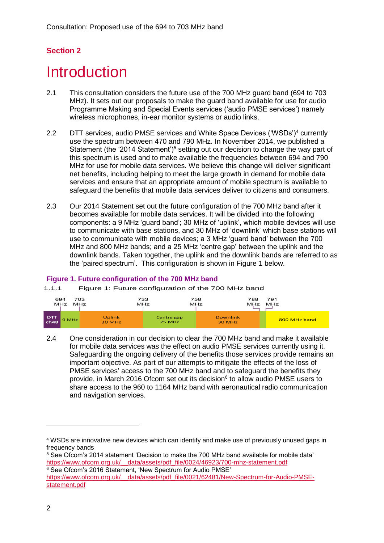## <span id="page-4-0"></span>**Introduction**

- 2.1 This consultation considers the future use of the 700 MHz guard band (694 to 703 MHz). It sets out our proposals to make the guard band available for use for audio Programme Making and Special Events services ('audio PMSE services') namely wireless microphones, in-ear monitor systems or audio links.
- 2.2 DTT services, audio PMSE services and White Space Devices ('WSDs')<sup>4</sup> currently use the spectrum between 470 and 790 MHz. In November 2014, we published a Statement (the '2014 Statement')<sup>5</sup> setting out our decision to change the way part of this spectrum is used and to make available the frequencies between 694 and 790 MHz for use for mobile data services. We believe this change will deliver significant net benefits, including helping to meet the large growth in demand for mobile data services and ensure that an appropriate amount of mobile spectrum is available to safeguard the benefits that mobile data services deliver to citizens and consumers.
- 2.3 Our 2014 Statement set out the future configuration of the 700 MHz band after it becomes available for mobile data services. It will be divided into the following components: a 9 MHz 'guard band'; 30 MHz of 'uplink', which mobile devices will use to communicate with base stations, and 30 MHz of 'downlink' which base stations will use to communicate with mobile devices; a 3 MHz 'guard band' between the 700 MHz and 800 MHz bands; and a 25 MHz 'centre gap' between the uplink and the downlink bands. Taken together, the uplink and the downlink bands are referred to as the 'paired spectrum'. This configuration is shown in Figure 1 below.

#### **Figure 1. Future configuration of the 700 MHz band**

1.1.1 Figure 1: Future configuration of the 700 MHz band



2.4 One consideration in our decision to clear the 700 MHz band and make it available for mobile data services was the effect on audio PMSE services currently using it. Safeguarding the ongoing delivery of the benefits those services provide remains an important objective. As part of our attempts to mitigate the effects of the loss of PMSE services' access to the 700 MHz band and to safeguard the benefits they provide, in March 2016 Ofcom set out its decision<sup>6</sup> to allow audio PMSE users to share access to the 960 to 1164 MHz band with aeronautical radio communication and navigation services.

<sup>4</sup> WSDs are innovative new devices which can identify and make use of previously unused gaps in frequency bands

<sup>&</sup>lt;sup>5</sup> See Ofcom's 2014 statement 'Decision to make the 700 MHz band available for mobile data' [https://www.ofcom.org.uk/\\_\\_data/assets/pdf\\_file/0024/46923/700-mhz-statement.pdf](https://www.ofcom.org.uk/__data/assets/pdf_file/0024/46923/700-mhz-statement.pdf) <sup>6</sup> See Ofcom's 2016 Statement, 'New Spectrum for Audio PMSE'

[https://www.ofcom.org.uk/\\_\\_data/assets/pdf\\_file/0021/62481/New-Spectrum-for-Audio-PMSE](https://www.ofcom.org.uk/__data/assets/pdf_file/0021/62481/New-Spectrum-for-Audio-PMSE-statement.pdf)[statement.pdf](https://www.ofcom.org.uk/__data/assets/pdf_file/0021/62481/New-Spectrum-for-Audio-PMSE-statement.pdf)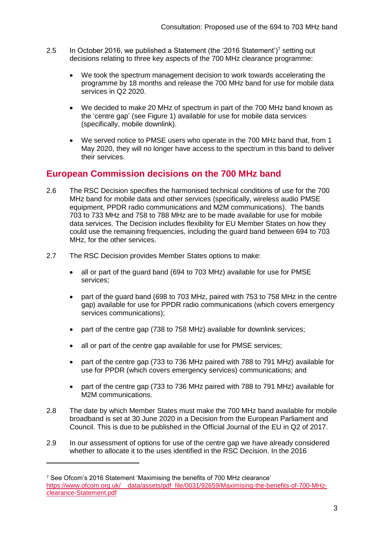- 2.5 In October 2016, we published a Statement (the '2016 Statement')<sup>7</sup> setting out decisions relating to three key aspects of the 700 MHz clearance programme:
	- We took the spectrum management decision to work towards accelerating the programme by 18 months and release the 700 MHz band for use for mobile data services in Q2 2020.
	- We decided to make 20 MHz of spectrum in part of the 700 MHz band known as the 'centre gap' (see Figure 1) available for use for mobile data services (specifically, mobile downlink).
	- We served notice to PMSE users who operate in the 700 MHz band that, from 1 May 2020, they will no longer have access to the spectrum in this band to deliver their services.

## **European Commission decisions on the 700 MHz band**

- 2.6 The RSC Decision specifies the harmonised technical conditions of use for the 700 MHz band for mobile data and other services (specifically, wireless audio PMSE equipment, PPDR radio communications and M2M communications). The bands 703 to 733 MHz and 758 to 788 MHz are to be made available for use for mobile data services. The Decision includes flexibility for EU Member States on how they could use the remaining frequencies, including the guard band between 694 to 703 MHz, for the other services.
- 2.7 The RSC Decision provides Member States options to make:
	- all or part of the guard band (694 to 703 MHz) available for use for PMSE services;
	- part of the guard band (698 to 703 MHz, paired with 753 to 758 MHz in the centre gap) available for use for PPDR radio communications (which covers emergency services communications);
	- part of the centre gap (738 to 758 MHz) available for downlink services;
	- all or part of the centre gap available for use for PMSE services;
	- part of the centre gap (733 to 736 MHz paired with 788 to 791 MHz) available for use for PPDR (which covers emergency services) communications; and
	- part of the centre gap (733 to 736 MHz paired with 788 to 791 MHz) available for M2M communications.
- 2.8 The date by which Member States must make the 700 MHz band available for mobile broadband is set at 30 June 2020 in a Decision from the European Parliament and Council. This is due to be published in the Official Journal of the EU in Q2 of 2017.
- 2.9 In our assessment of options for use of the centre gap we have already considered whether to allocate it to the uses identified in the RSC Decision. In the 2016

<sup>7</sup> See Ofcom's 2016 Statement 'Maximising the benefits of 700 MHz clearance' [https://www.ofcom.org.uk/\\_\\_data/assets/pdf\\_file/0031/92659/Maximising-the-benefits-of-700-MHz](https://www.ofcom.org.uk/__data/assets/pdf_file/0031/92659/Maximising-the-benefits-of-700-MHz-clearance-Statement.pdf)[clearance-Statement.pdf](https://www.ofcom.org.uk/__data/assets/pdf_file/0031/92659/Maximising-the-benefits-of-700-MHz-clearance-Statement.pdf)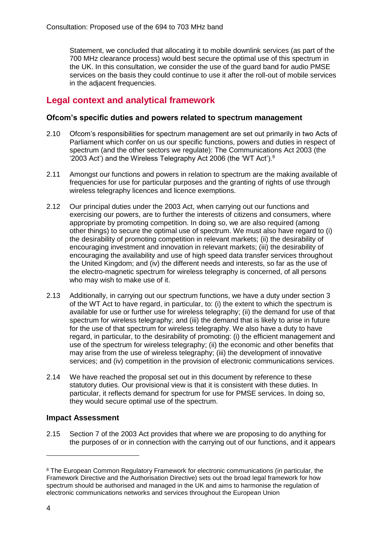Statement, we concluded that allocating it to mobile downlink services (as part of the 700 MHz clearance process) would best secure the optimal use of this spectrum in the UK. In this consultation, we consider the use of the guard band for audio PMSE services on the basis they could continue to use it after the roll-out of mobile services in the adiacent frequencies.

## **Legal context and analytical framework**

### **Ofcom's specific duties and powers related to spectrum management**

- 2.10 Ofcom's responsibilities for spectrum management are set out primarily in two Acts of Parliament which confer on us our specific functions, powers and duties in respect of spectrum (and the other sectors we regulate): The Communications Act 2003 (the '2003 Act') and the Wireless Telegraphy Act 2006 (the 'WT Act').<sup>8</sup>
- 2.11 Amongst our functions and powers in relation to spectrum are the making available of frequencies for use for particular purposes and the granting of rights of use through wireless telegraphy licences and licence exemptions.
- 2.12 Our principal duties under the 2003 Act, when carrying out our functions and exercising our powers, are to further the interests of citizens and consumers, where appropriate by promoting competition. In doing so, we are also required (among other things) to secure the optimal use of spectrum. We must also have regard to (i) the desirability of promoting competition in relevant markets; (ii) the desirability of encouraging investment and innovation in relevant markets; (iii) the desirability of encouraging the availability and use of high speed data transfer services throughout the United Kingdom; and (iv) the different needs and interests, so far as the use of the electro-magnetic spectrum for wireless telegraphy is concerned, of all persons who may wish to make use of it.
- 2.13 Additionally, in carrying out our spectrum functions, we have a duty under section 3 of the WT Act to have regard, in particular, to: (i) the extent to which the spectrum is available for use or further use for wireless telegraphy; (ii) the demand for use of that spectrum for wireless telegraphy; and (iii) the demand that is likely to arise in future for the use of that spectrum for wireless telegraphy. We also have a duty to have regard, in particular, to the desirability of promoting: (i) the efficient management and use of the spectrum for wireless telegraphy; (ii) the economic and other benefits that may arise from the use of wireless telegraphy; (iii) the development of innovative services; and (iv) competition in the provision of electronic communications services.
- 2.14 We have reached the proposal set out in this document by reference to these statutory duties. Our provisional view is that it is consistent with these duties. In particular, it reflects demand for spectrum for use for PMSE services. In doing so, they would secure optimal use of the spectrum.

### **Impact Assessment**

2.15 Section 7 of the 2003 Act provides that where we are proposing to do anything for the purposes of or in connection with the carrying out of our functions, and it appears

-

<sup>8</sup> The European Common Regulatory Framework for electronic communications (in particular, the Framework Directive and the Authorisation Directive) sets out the broad legal framework for how spectrum should be authorised and managed in the UK and aims to harmonise the regulation of electronic communications networks and services throughout the European Union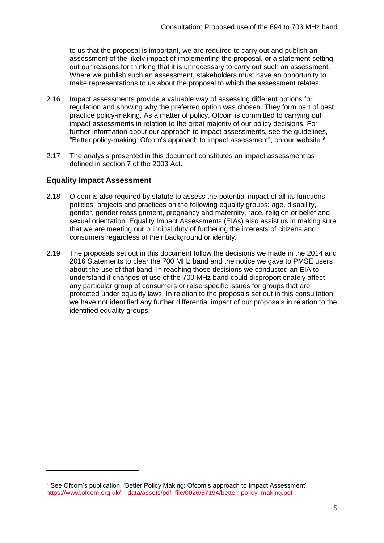to us that the proposal is important, we are required to carry out and publish an assessment of the likely impact of implementing the proposal, or a statement setting out our reasons for thinking that it is unnecessary to carry out such an assessment. Where we publish such an assessment, stakeholders must have an opportunity to make representations to us about the proposal to which the assessment relates.

- 2.16 Impact assessments provide a valuable way of assessing different options for regulation and showing why the preferred option was chosen. They form part of best practice policy-making. As a matter of policy, Ofcom is committed to carrying out impact assessments in relation to the great majority of our policy decisions. For further information about our approach to impact assessments, see the guidelines, "Better policy-making: Ofcom's approach to impact assessment", on our website.<sup>9</sup>
- 2.17 The analysis presented in this document constitutes an impact assessment as defined in section 7 of the 2003 Act.

### **Equality Impact Assessment**

 $\overline{a}$ 

- 2.18 Ofcom is also required by statute to assess the potential impact of all its functions, policies, projects and practices on the following equality groups: age, disability, gender, gender reassignment, pregnancy and maternity, race, religion or belief and sexual orientation. Equality Impact Assessments (EIAs) also assist us in making sure that we are meeting our principal duty of furthering the interests of citizens and consumers regardless of their background or identity.
- 2.19 The proposals set out in this document follow the decisions we made in the 2014 and 2016 Statements to clear the 700 MHz band and the notice we gave to PMSE users about the use of that band. In reaching those decisions we conducted an EIA to understand if changes of use of the 700 MHz band could disproportionately affect any particular group of consumers or raise specific issues for groups that are protected under equality laws. In relation to the proposals set out in this consultation, we have not identified any further differential impact of our proposals in relation to the identified equality groups.

<sup>9</sup> See Ofcom's publication, 'Better Policy Making: Ofcom's approach to Impact Assessment' [https://www.ofcom.org.uk/\\_\\_data/assets/pdf\\_file/0026/57194/better\\_policy\\_making.pdf](https://www.ofcom.org.uk/__data/assets/pdf_file/0026/57194/better_policy_making.pdf)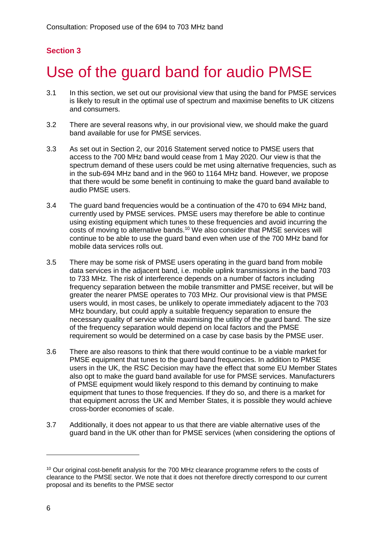# <span id="page-8-0"></span>Use of the guard band for audio PMSE

- 3.1 In this section, we set out our provisional view that using the band for PMSE services is likely to result in the optimal use of spectrum and maximise benefits to UK citizens and consumers.
- 3.2 There are several reasons why, in our provisional view, we should make the guard band available for use for PMSE services.
- 3.3 As set out in Section 2, our 2016 Statement served notice to PMSE users that access to the 700 MHz band would cease from 1 May 2020. Our view is that the spectrum demand of these users could be met using alternative frequencies, such as in the sub-694 MHz band and in the 960 to 1164 MHz band. However, we propose that there would be some benefit in continuing to make the guard band available to audio PMSE users.
- 3.4 The guard band frequencies would be a continuation of the 470 to 694 MHz band, currently used by PMSE services. PMSE users may therefore be able to continue using existing equipment which tunes to these frequencies and avoid incurring the costs of moving to alternative bands.<sup>10</sup> We also consider that PMSE services will continue to be able to use the guard band even when use of the 700 MHz band for mobile data services rolls out.
- 3.5 There may be some risk of PMSE users operating in the guard band from mobile data services in the adjacent band, i.e. mobile uplink transmissions in the band 703 to 733 MHz. The risk of interference depends on a number of factors including frequency separation between the mobile transmitter and PMSE receiver, but will be greater the nearer PMSE operates to 703 MHz. Our provisional view is that PMSE users would, in most cases, be unlikely to operate immediately adjacent to the 703 MHz boundary, but could apply a suitable frequency separation to ensure the necessary quality of service while maximising the utility of the guard band. The size of the frequency separation would depend on local factors and the PMSE requirement so would be determined on a case by case basis by the PMSE user.
- 3.6 There are also reasons to think that there would continue to be a viable market for PMSE equipment that tunes to the guard band frequencies. In addition to PMSE users in the UK, the RSC Decision may have the effect that some EU Member States also opt to make the guard band available for use for PMSE services. Manufacturers of PMSE equipment would likely respond to this demand by continuing to make equipment that tunes to those frequencies. If they do so, and there is a market for that equipment across the UK and Member States, it is possible they would achieve cross-border economies of scale.
- 3.7 Additionally, it does not appear to us that there are viable alternative uses of the guard band in the UK other than for PMSE services (when considering the options of

-

<sup>&</sup>lt;sup>10</sup> Our original cost-benefit analysis for the 700 MHz clearance programme refers to the costs of clearance to the PMSE sector. We note that it does not therefore directly correspond to our current proposal and its benefits to the PMSE sector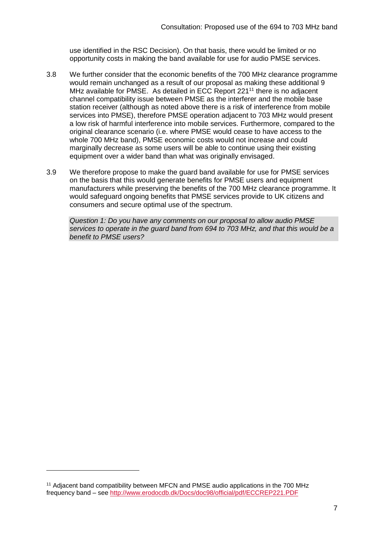use identified in the RSC Decision). On that basis, there would be limited or no opportunity costs in making the band available for use for audio PMSE services.

- 3.8 We further consider that the economic benefits of the 700 MHz clearance programme would remain unchanged as a result of our proposal as making these additional 9 MHz available for PMSE. As detailed in ECC Report 221<sup>11</sup> there is no adjacent channel compatibility issue between PMSE as the interferer and the mobile base station receiver (although as noted above there is a risk of interference from mobile services into PMSE), therefore PMSE operation adjacent to 703 MHz would present a low risk of harmful interference into mobile services. Furthermore, compared to the original clearance scenario (i.e. where PMSE would cease to have access to the whole 700 MHz band), PMSE economic costs would not increase and could marginally decrease as some users will be able to continue using their existing equipment over a wider band than what was originally envisaged.
- 3.9 We therefore propose to make the guard band available for use for PMSE services on the basis that this would generate benefits for PMSE users and equipment manufacturers while preserving the benefits of the 700 MHz clearance programme. It would safeguard ongoing benefits that PMSE services provide to UK citizens and consumers and secure optimal use of the spectrum.

*Question 1: Do you have any comments on our proposal to allow audio PMSE services to operate in the guard band from 694 to 703 MHz, and that this would be a benefit to PMSE users?*

 $\overline{a}$ 

<sup>&</sup>lt;sup>11</sup> Adjacent band compatibility between MFCN and PMSE audio applications in the 700 MHz frequency band – see<http://www.erodocdb.dk/Docs/doc98/official/pdf/ECCREP221.PDF>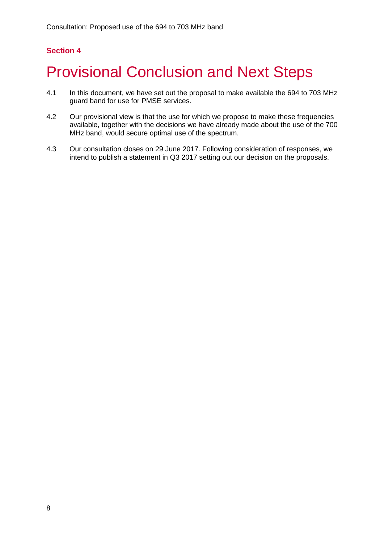# <span id="page-10-0"></span>**Provisional Conclusion and Next Steps**

- 4.1 In this document, we have set out the proposal to make available the 694 to 703 MHz guard band for use for PMSE services.
- 4.2 Our provisional view is that the use for which we propose to make these frequencies available, together with the decisions we have already made about the use of the 700 MHz band, would secure optimal use of the spectrum.
- 4.3 Our consultation closes on 29 June 2017. Following consideration of responses, we intend to publish a statement in Q3 2017 setting out our decision on the proposals.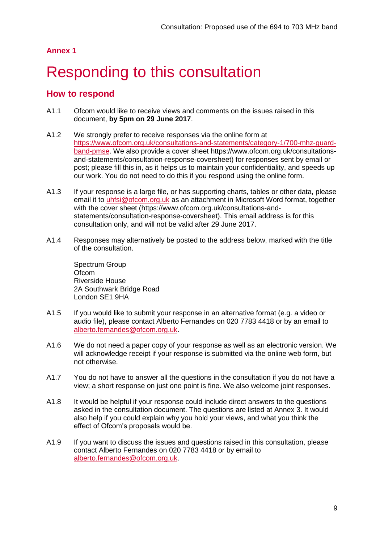### **Annex 1**

# <span id="page-11-0"></span>Responding to this consultation

### **How to respond**

- A1.1 Ofcom would like to receive views and comments on the issues raised in this document, **by 5pm on 29 June 2017**.
- A1.2 We strongly prefer to receive responses via the online form at [https://www.ofcom.org.uk/consultations-and-statements/category-1/700-mhz-guard](https://www.ofcom.org.uk/consultations-and-statements/category-1/700-mhz-guard-band-pmse)[band-pmse.](https://www.ofcom.org.uk/consultations-and-statements/category-1/700-mhz-guard-band-pmse) We also provide a cover sheet [https://www.ofcom.org.uk/consultations](https://www.ofcom.org.uk/consultations-and-statements/consultation-response-coversheet)[and-statements/consultation-response-coversheet\)](https://www.ofcom.org.uk/consultations-and-statements/consultation-response-coversheet) for responses sent by email or post; please fill this in, as it helps us to maintain your confidentiality, and speeds up our work. You do not need to do this if you respond using the online form.
- A1.3 If your response is a large file, or has supporting charts, tables or other data, please email it to [uhfsi@ofcom.org.uk](mailto:uhfsi@ofcom.org.uk) as an attachment in Microsoft Word format, together with the cover sheet [\(https://www.ofcom.org.uk/consultations-and](https://www.ofcom.org.uk/consultations-and-statements/consultation-response-coversheet)[statements/consultation-response-coversheet\)](https://www.ofcom.org.uk/consultations-and-statements/consultation-response-coversheet). This email address is for this consultation only, and will not be valid after 29 June 2017.
- A1.4 Responses may alternatively be posted to the address below, marked with the title of the consultation.

Spectrum Group Ofcom Riverside House 2A Southwark Bridge Road London SE1 9HA

- A1.5 If you would like to submit your response in an alternative format (e.g. a video or audio file), please contact Alberto Fernandes on 020 7783 4418 or by an email to [alberto.fernandes@ofcom.org.uk.](mailto:alberto.fernandes@ofcom.org.uk)
- A1.6 We do not need a paper copy of your response as well as an electronic version. We will acknowledge receipt if your response is submitted via the online web form, but not otherwise.
- A1.7 You do not have to answer all the questions in the consultation if you do not have a view; a short response on just one point is fine. We also welcome joint responses.
- A1.8 It would be helpful if your response could include direct answers to the questions asked in the consultation document. The questions are listed at Annex 3. It would also help if you could explain why you hold your views, and what you think the effect of Ofcom's proposals would be.
- A1.9 If you want to discuss the issues and questions raised in this consultation, please contact Alberto Fernandes on 020 7783 4418 or by email to [alberto.fernandes@ofcom.org.uk.](mailto:alberto.fernandes@ofcom.org.uk)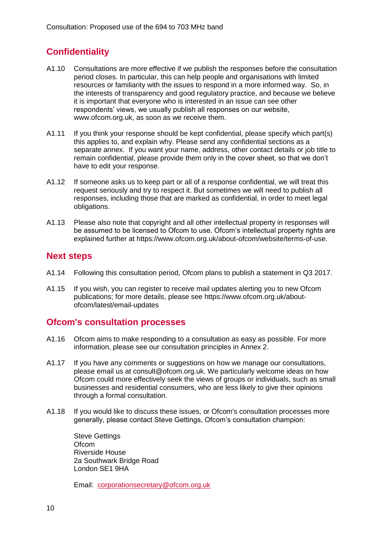## **Confidentiality**

- A1.10 Consultations are more effective if we publish the responses before the consultation period closes. In particular, this can help people and organisations with limited resources or familiarity with the issues to respond in a more informed way. So, in the interests of transparency and good regulatory practice, and because we believe it is important that everyone who is interested in an issue can see other respondents' views, we usually publish all responses on our website, [www.ofcom.org.uk,](http://www.ofcom.org.uk/) as soon as we receive them.
- A1.11 If you think your response should be kept confidential, please specify which part(s) this applies to, and explain why. Please send any confidential sections as a separate annex. If you want your name, address, other contact details or job title to remain confidential, please provide them only in the cover sheet, so that we don't have to edit your response.
- A1.12 If someone asks us to keep part or all of a response confidential, we will treat this request seriously and try to respect it. But sometimes we will need to publish all responses, including those that are marked as confidential, in order to meet legal obligations.
- A1.13 Please also note that copyright and all other intellectual property in responses will be assumed to be licensed to Ofcom to use. Ofcom's intellectual property rights are explained further at [https://www.ofcom.org.uk/about-ofcom/website/terms-of-use.](https://www.ofcom.org.uk/about-ofcom/website/terms-of-use)

## **Next steps**

- A1.14 Following this consultation period, Ofcom plans to publish a statement in Q3 2017.
- A1.15 If you wish, you can register to receive mail updates alerting you to new Ofcom publications; for more details, please see [https://www.ofcom.org.uk/about](https://www.ofcom.org.uk/about-ofcom/latest/email-updates)[ofcom/latest/email-updates](https://www.ofcom.org.uk/about-ofcom/latest/email-updates)

### **Ofcom's consultation processes**

- A1.16 Ofcom aims to make responding to a consultation as easy as possible. For more information, please see our consultation principles in Annex 2.
- A1.17 If you have any comments or suggestions on how we manage our consultations, please email us at [consult@ofcom.org.uk.](mailto:consult@ofcom.org.uk) We particularly welcome ideas on how Ofcom could more effectively seek the views of groups or individuals, such as small businesses and residential consumers, who are less likely to give their opinions through a formal consultation.
- A1.18 If you would like to discuss these issues, or Ofcom's consultation processes more generally, please contact Steve Gettings, Ofcom's consultation champion:

Steve Gettings **Ofcom** Riverside House 2a Southwark Bridge Road London SE1 9HA

Email: [corporationsecretary@ofcom.org.uk](mailto:corporationsecretary@ofcom.org.uk)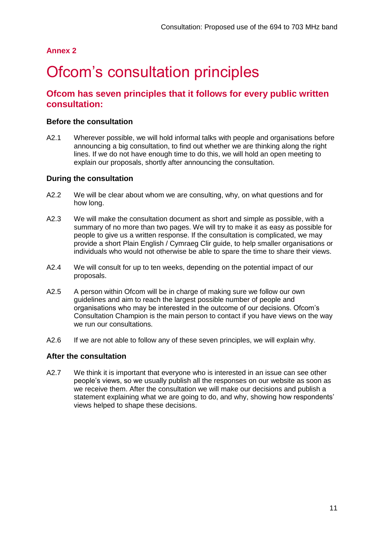### **Annex 2**

## <span id="page-13-0"></span>Ofcom's consultation principles

## **Ofcom has seven principles that it follows for every public written consultation:**

#### **Before the consultation**

A2.1 Wherever possible, we will hold informal talks with people and organisations before announcing a big consultation, to find out whether we are thinking along the right lines. If we do not have enough time to do this, we will hold an open meeting to explain our proposals, shortly after announcing the consultation.

### **During the consultation**

- A2.2 We will be clear about whom we are consulting, why, on what questions and for how long.
- A2.3 We will make the consultation document as short and simple as possible, with a summary of no more than two pages. We will try to make it as easy as possible for people to give us a written response. If the consultation is complicated, we may provide a short Plain English / Cymraeg Clir guide, to help smaller organisations or individuals who would not otherwise be able to spare the time to share their views.
- A2.4 We will consult for up to ten weeks, depending on the potential impact of our proposals.
- A2.5 A person within Ofcom will be in charge of making sure we follow our own guidelines and aim to reach the largest possible number of people and organisations who may be interested in the outcome of our decisions. Ofcom's Consultation Champion is the main person to contact if you have views on the way we run our consultations.
- A2.6 If we are not able to follow any of these seven principles, we will explain why.

#### **After the consultation**

A2.7 We think it is important that everyone who is interested in an issue can see other people's views, so we usually publish all the responses on our website as soon as we receive them. After the consultation we will make our decisions and publish a statement explaining what we are going to do, and why, showing how respondents' views helped to shape these decisions.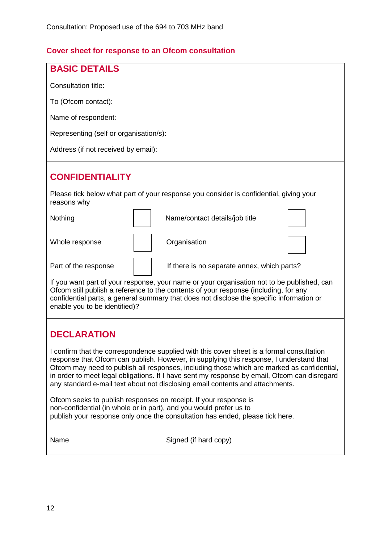## **Cover sheet for response to an Ofcom consultation**

| <b>BASIC DETAILS</b>                                                                                                                                                                                                                                                                                                                                                                                                                                                |  |  |  |
|---------------------------------------------------------------------------------------------------------------------------------------------------------------------------------------------------------------------------------------------------------------------------------------------------------------------------------------------------------------------------------------------------------------------------------------------------------------------|--|--|--|
| <b>Consultation title:</b>                                                                                                                                                                                                                                                                                                                                                                                                                                          |  |  |  |
| To (Ofcom contact):                                                                                                                                                                                                                                                                                                                                                                                                                                                 |  |  |  |
| Name of respondent:                                                                                                                                                                                                                                                                                                                                                                                                                                                 |  |  |  |
| Representing (self or organisation/s):                                                                                                                                                                                                                                                                                                                                                                                                                              |  |  |  |
| Address (if not received by email):                                                                                                                                                                                                                                                                                                                                                                                                                                 |  |  |  |
| <b>CONFIDENTIALITY</b>                                                                                                                                                                                                                                                                                                                                                                                                                                              |  |  |  |
| Please tick below what part of your response you consider is confidential, giving your<br>reasons why                                                                                                                                                                                                                                                                                                                                                               |  |  |  |
| Nothing<br>Name/contact details/job title                                                                                                                                                                                                                                                                                                                                                                                                                           |  |  |  |
| Organisation<br>Whole response                                                                                                                                                                                                                                                                                                                                                                                                                                      |  |  |  |
| Part of the response<br>If there is no separate annex, which parts?                                                                                                                                                                                                                                                                                                                                                                                                 |  |  |  |
| If you want part of your response, your name or your organisation not to be published, can<br>Ofcom still publish a reference to the contents of your response (including, for any<br>confidential parts, a general summary that does not disclose the specific information or<br>enable you to be identified)?                                                                                                                                                     |  |  |  |
| <b>DECLARATION</b>                                                                                                                                                                                                                                                                                                                                                                                                                                                  |  |  |  |
| I confirm that the correspondence supplied with this cover sheet is a formal consultation<br>response that Ofcom can publish. However, in supplying this response, I understand that<br>Ofcom may need to publish all responses, including those which are marked as confidential,<br>in order to meet legal obligations. If I have sent my response by email, Ofcom can disregard<br>any standard e-mail text about not disclosing email contents and attachments. |  |  |  |
| Ofcom seeks to publish responses on receipt. If your response is<br>non-confidential (in whole or in part), and you would prefer us to<br>publish your response only once the consultation has ended, please tick here.                                                                                                                                                                                                                                             |  |  |  |
| Name<br>Signed (if hard copy)                                                                                                                                                                                                                                                                                                                                                                                                                                       |  |  |  |